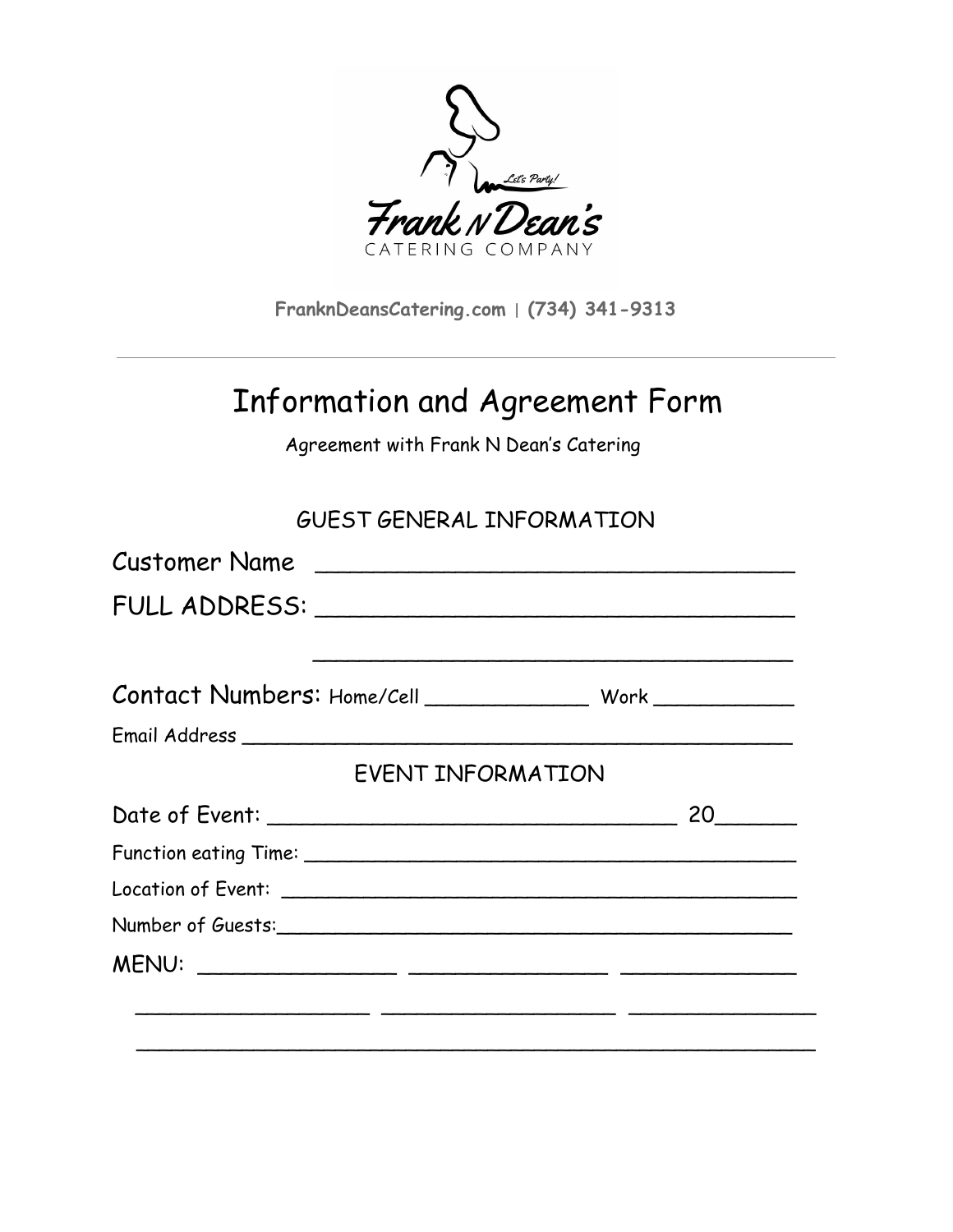

**FranknDeansCatering.com | (734) 341-9313**

# Information and Agreement Form

Agreement with Frank N Dean's Catering

#### GUEST GENERAL INFORMATION

| Contact Numbers: Home/Cell _________________ Work ___________                                                  |  |
|----------------------------------------------------------------------------------------------------------------|--|
|                                                                                                                |  |
| EVENT INFORMATION                                                                                              |  |
|                                                                                                                |  |
| Function eating Time: contained and the contact of the contact of the contact of the contact of the contact of |  |
|                                                                                                                |  |
|                                                                                                                |  |
|                                                                                                                |  |
|                                                                                                                |  |
|                                                                                                                |  |